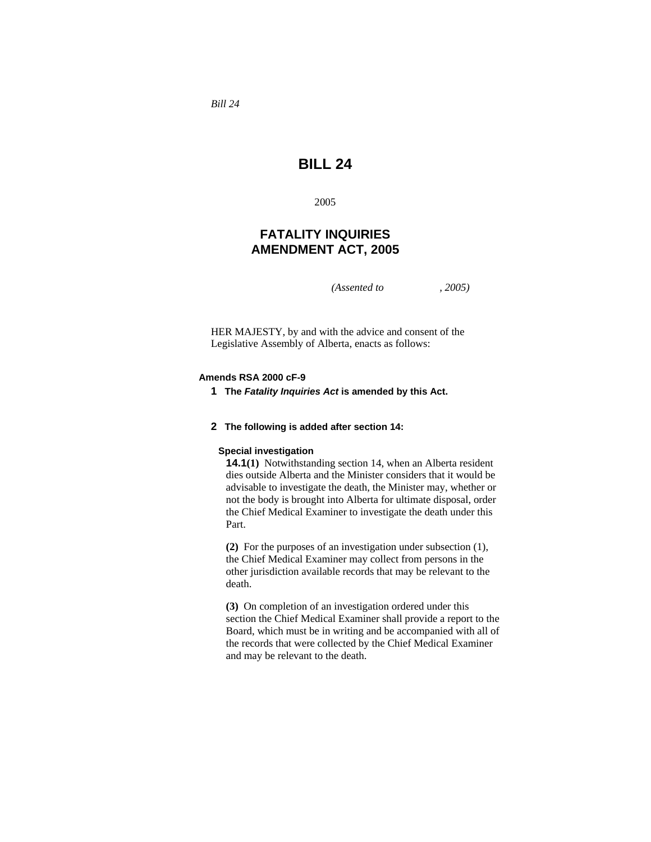*Bill 24* 

# **BILL 24**

2005

# **FATALITY INQUIRIES AMENDMENT ACT, 2005**

*(Assented to , 2005)* 

HER MAJESTY, by and with the advice and consent of the Legislative Assembly of Alberta, enacts as follows:

## **Amends RSA 2000 cF-9**

**1 The** *Fatality Inquiries Act* **is amended by this Act.**

#### **2 The following is added after section 14:**

#### **Special investigation**

**14.1(1)** Notwithstanding section 14, when an Alberta resident dies outside Alberta and the Minister considers that it would be advisable to investigate the death, the Minister may, whether or not the body is brought into Alberta for ultimate disposal, order the Chief Medical Examiner to investigate the death under this Part.

**(2)** For the purposes of an investigation under subsection (1), the Chief Medical Examiner may collect from persons in the other jurisdiction available records that may be relevant to the death.

**(3)** On completion of an investigation ordered under this section the Chief Medical Examiner shall provide a report to the Board, which must be in writing and be accompanied with all of the records that were collected by the Chief Medical Examiner and may be relevant to the death.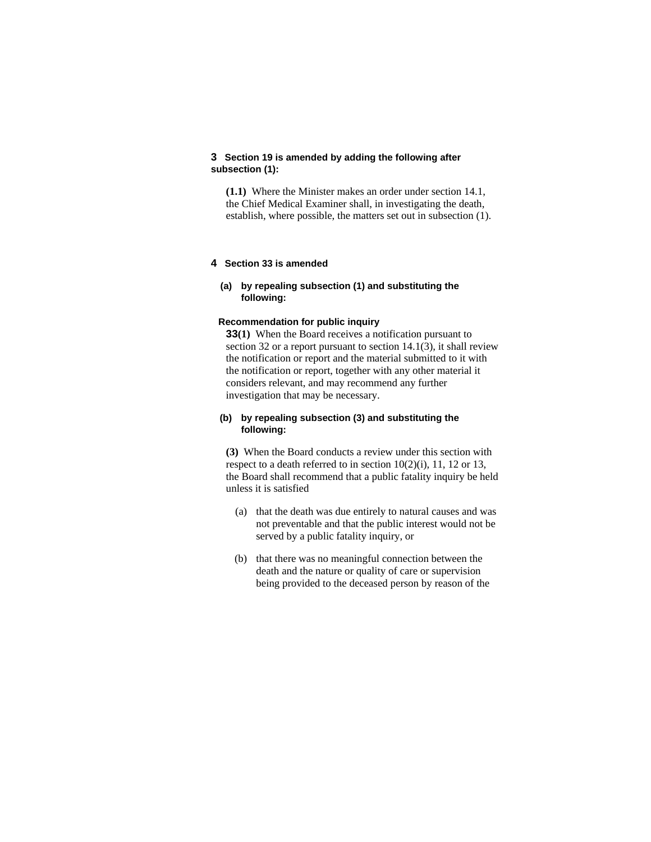# **3 Section 19 is amended by adding the following after subsection (1):**

**(1.1)** Where the Minister makes an order under section 14.1, the Chief Medical Examiner shall, in investigating the death, establish, where possible, the matters set out in subsection (1).

## **4 Section 33 is amended**

# **(a) by repealing subsection (1) and substituting the following:**

## **Recommendation for public inquiry**

**33(1)** When the Board receives a notification pursuant to section 32 or a report pursuant to section  $14.1(3)$ , it shall review the notification or report and the material submitted to it with the notification or report, together with any other material it considers relevant, and may recommend any further investigation that may be necessary.

# **(b) by repealing subsection (3) and substituting the following:**

**(3)** When the Board conducts a review under this section with respect to a death referred to in section 10(2)(i), 11, 12 or 13, the Board shall recommend that a public fatality inquiry be held unless it is satisfied

- (a) that the death was due entirely to natural causes and was not preventable and that the public interest would not be served by a public fatality inquiry, or
- (b) that there was no meaningful connection between the death and the nature or quality of care or supervision being provided to the deceased person by reason of the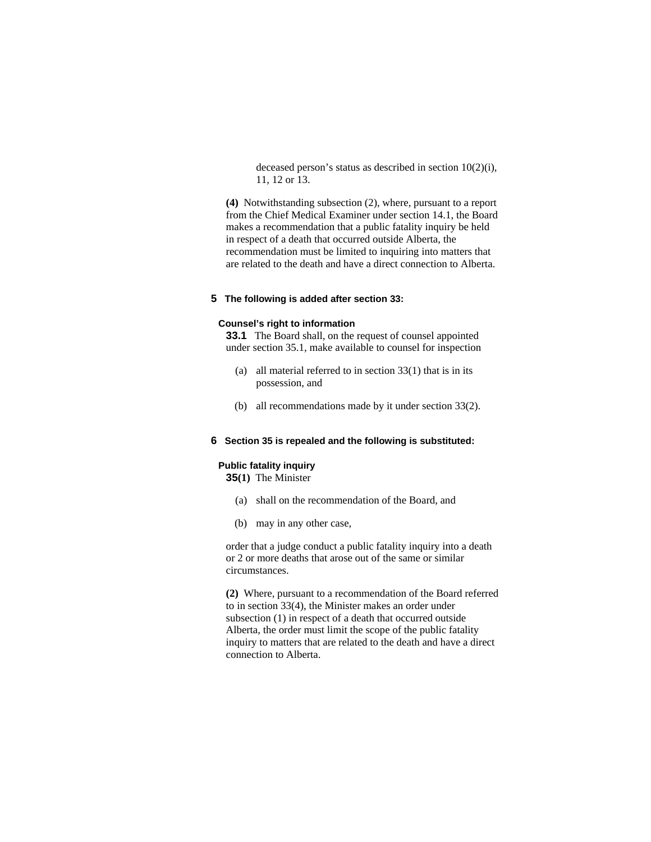deceased person's status as described in section 10(2)(i), 11, 12 or 13.

**(4)** Notwithstanding subsection (2), where, pursuant to a report from the Chief Medical Examiner under section 14.1, the Board makes a recommendation that a public fatality inquiry be held in respect of a death that occurred outside Alberta, the recommendation must be limited to inquiring into matters that are related to the death and have a direct connection to Alberta.

# **5 The following is added after section 33:**

## **Counsel's right to information**

**33.1** The Board shall, on the request of counsel appointed under section 35.1, make available to counsel for inspection

- (a) all material referred to in section 33(1) that is in its possession, and
- (b) all recommendations made by it under section 33(2).

# **6 Section 35 is repealed and the following is substituted:**

# **Public fatality inquiry**

**35(1)** The Minister

- (a) shall on the recommendation of the Board, and
- (b) may in any other case,

order that a judge conduct a public fatality inquiry into a death or 2 or more deaths that arose out of the same or similar circumstances.

**(2)** Where, pursuant to a recommendation of the Board referred to in section 33(4), the Minister makes an order under subsection (1) in respect of a death that occurred outside Alberta, the order must limit the scope of the public fatality inquiry to matters that are related to the death and have a direct connection to Alberta.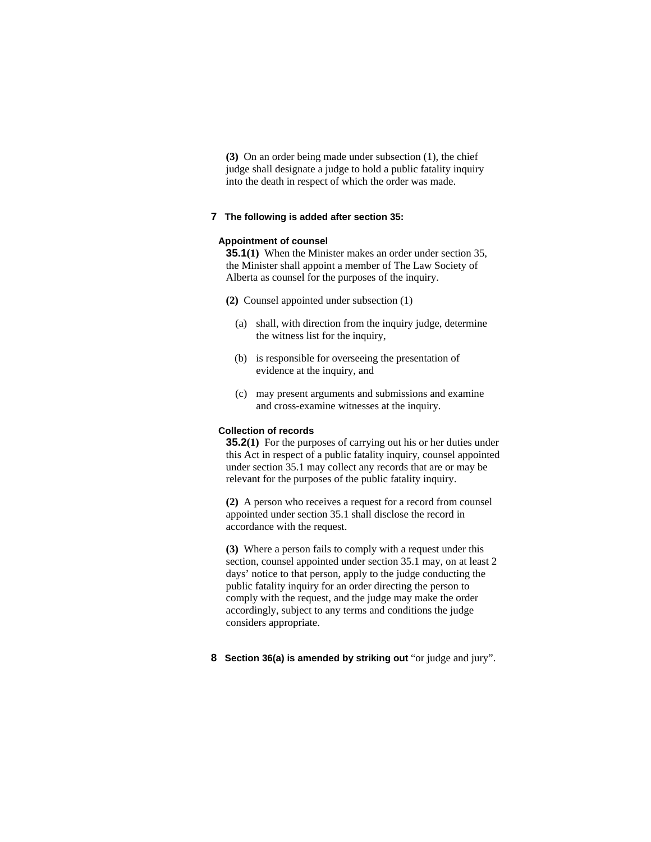**(3)** On an order being made under subsection (1), the chief judge shall designate a judge to hold a public fatality inquiry into the death in respect of which the order was made.

# **7 The following is added after section 35:**

#### **Appointment of counsel**

**35.1(1)** When the Minister makes an order under section 35, the Minister shall appoint a member of The Law Society of Alberta as counsel for the purposes of the inquiry.

- **(2)** Counsel appointed under subsection (1)
	- (a) shall, with direction from the inquiry judge, determine the witness list for the inquiry,
	- (b) is responsible for overseeing the presentation of evidence at the inquiry, and
	- (c) may present arguments and submissions and examine and cross-examine witnesses at the inquiry.

#### **Collection of records**

**35.2(1)** For the purposes of carrying out his or her duties under this Act in respect of a public fatality inquiry, counsel appointed under section 35.1 may collect any records that are or may be relevant for the purposes of the public fatality inquiry.

**(2)** A person who receives a request for a record from counsel appointed under section 35.1 shall disclose the record in accordance with the request.

**(3)** Where a person fails to comply with a request under this section, counsel appointed under section 35.1 may, on at least 2 days' notice to that person, apply to the judge conducting the public fatality inquiry for an order directing the person to comply with the request, and the judge may make the order accordingly, subject to any terms and conditions the judge considers appropriate.

**8 Section 36(a) is amended by striking out** "or judge and jury".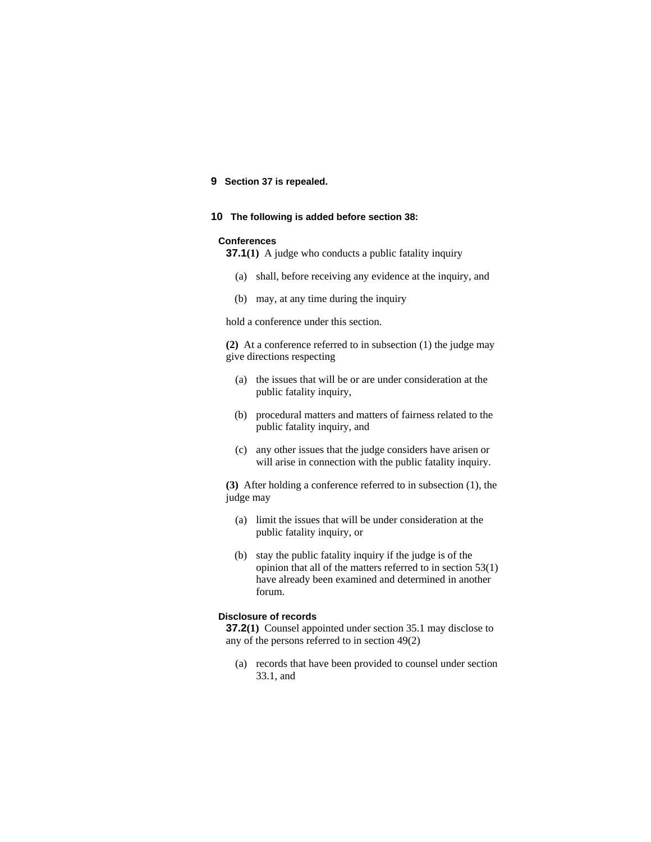# **9 Section 37 is repealed.**

#### **10 The following is added before section 38:**

#### **Conferences**

**37.1**(1) A judge who conducts a public fatality inquiry

- (a) shall, before receiving any evidence at the inquiry, and
- (b) may, at any time during the inquiry

hold a conference under this section.

**(2)** At a conference referred to in subsection (1) the judge may give directions respecting

- (a) the issues that will be or are under consideration at the public fatality inquiry,
- (b) procedural matters and matters of fairness related to the public fatality inquiry, and
- (c) any other issues that the judge considers have arisen or will arise in connection with the public fatality inquiry.

**(3)** After holding a conference referred to in subsection (1), the judge may

- (a) limit the issues that will be under consideration at the public fatality inquiry, or
- (b) stay the public fatality inquiry if the judge is of the opinion that all of the matters referred to in section 53(1) have already been examined and determined in another forum.

#### **Disclosure of records**

**37.2(1)** Counsel appointed under section 35.1 may disclose to any of the persons referred to in section 49(2)

 (a) records that have been provided to counsel under section 33.1, and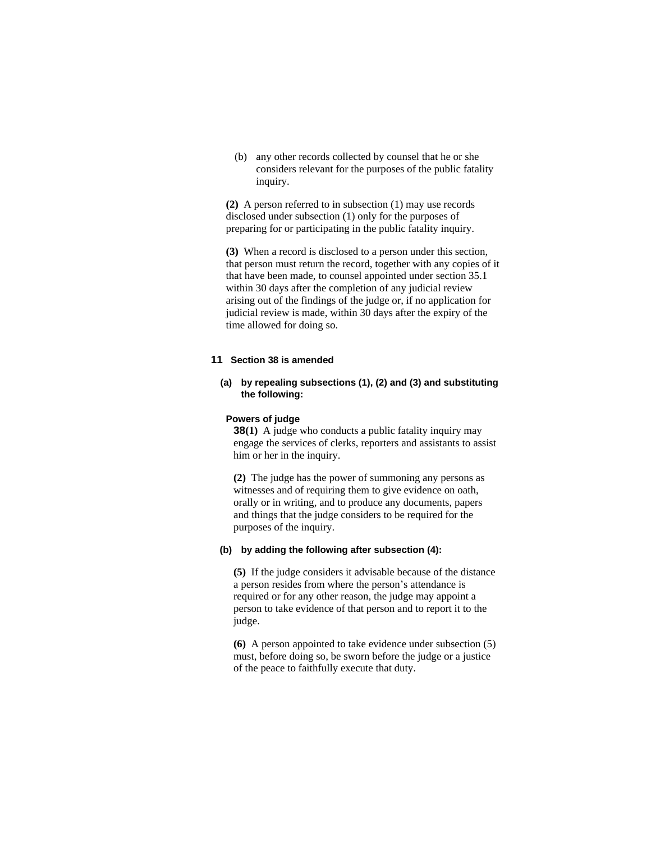(b) any other records collected by counsel that he or she considers relevant for the purposes of the public fatality inquiry.

**(2)** A person referred to in subsection (1) may use records disclosed under subsection (1) only for the purposes of preparing for or participating in the public fatality inquiry.

**(3)** When a record is disclosed to a person under this section, that person must return the record, together with any copies of it that have been made, to counsel appointed under section 35.1 within 30 days after the completion of any judicial review arising out of the findings of the judge or, if no application for judicial review is made, within 30 days after the expiry of the time allowed for doing so.

# **11 Section 38 is amended**

# **(a) by repealing subsections (1), (2) and (3) and substituting the following:**

#### **Powers of judge**

**38(1)** A judge who conducts a public fatality inquiry may engage the services of clerks, reporters and assistants to assist him or her in the inquiry.

**(2)** The judge has the power of summoning any persons as witnesses and of requiring them to give evidence on oath, orally or in writing, and to produce any documents, papers and things that the judge considers to be required for the purposes of the inquiry.

#### **(b) by adding the following after subsection (4):**

**(5)** If the judge considers it advisable because of the distance a person resides from where the person's attendance is required or for any other reason, the judge may appoint a person to take evidence of that person and to report it to the judge.

**(6)** A person appointed to take evidence under subsection (5) must, before doing so, be sworn before the judge or a justice of the peace to faithfully execute that duty.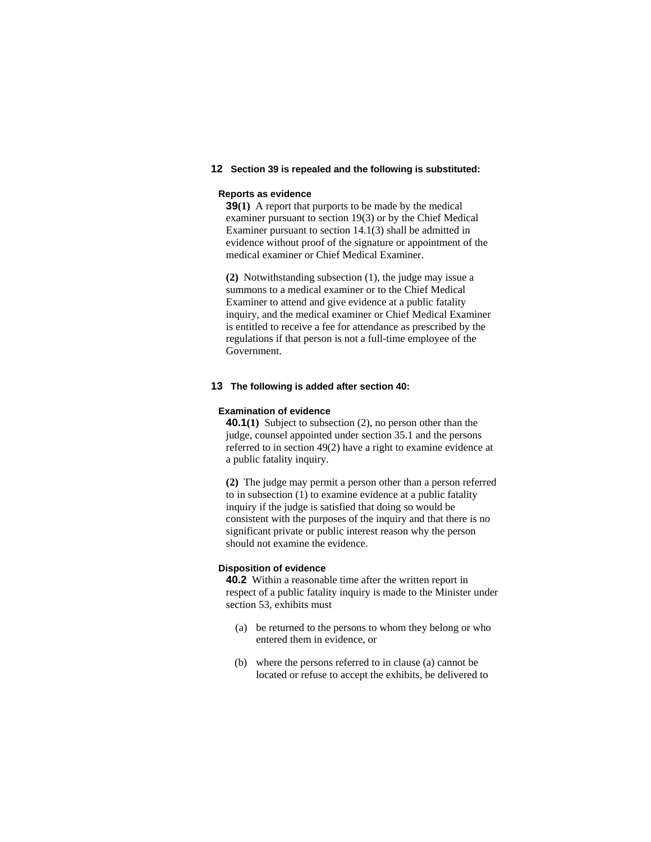# **12 Section 39 is repealed and the following is substituted:**

## **Reports as evidence**

**39(1)** A report that purports to be made by the medical examiner pursuant to section 19(3) or by the Chief Medical Examiner pursuant to section 14.1(3) shall be admitted in evidence without proof of the signature or appointment of the medical examiner or Chief Medical Examiner.

**(2)** Notwithstanding subsection (1), the judge may issue a summons to a medical examiner or to the Chief Medical Examiner to attend and give evidence at a public fatality inquiry, and the medical examiner or Chief Medical Examiner is entitled to receive a fee for attendance as prescribed by the regulations if that person is not a full-time employee of the Government.

## **13 The following is added after section 40:**

## **Examination of evidence**

**40.1(1)** Subject to subsection (2), no person other than the judge, counsel appointed under section 35.1 and the persons referred to in section 49(2) have a right to examine evidence at a public fatality inquiry.

**(2)** The judge may permit a person other than a person referred to in subsection (1) to examine evidence at a public fatality inquiry if the judge is satisfied that doing so would be consistent with the purposes of the inquiry and that there is no significant private or public interest reason why the person should not examine the evidence.

# **Disposition of evidence**

**40.2** Within a reasonable time after the written report in respect of a public fatality inquiry is made to the Minister under section 53, exhibits must

- (a) be returned to the persons to whom they belong or who entered them in evidence, or
- (b) where the persons referred to in clause (a) cannot be located or refuse to accept the exhibits, be delivered to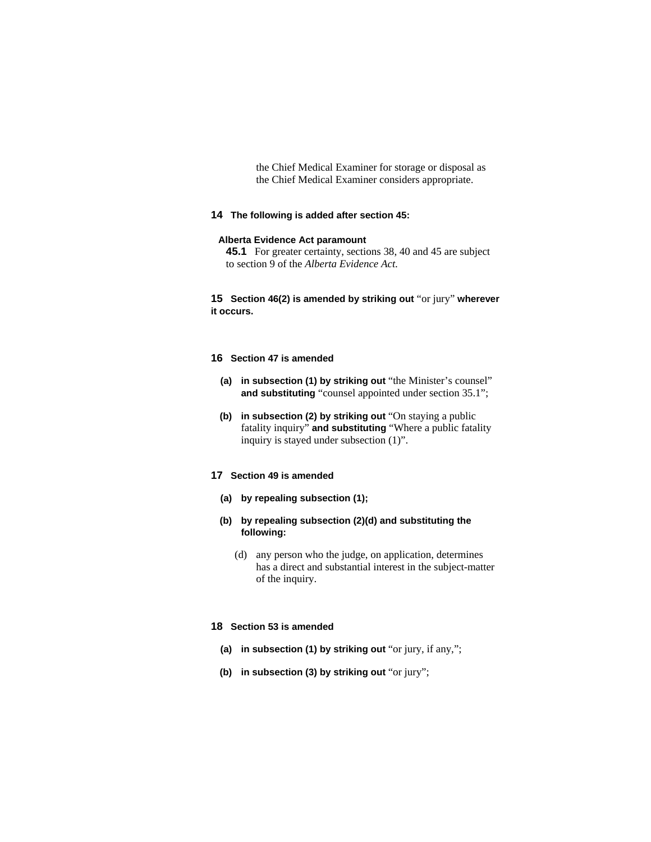the Chief Medical Examiner for storage or disposal as the Chief Medical Examiner considers appropriate.

## **14 The following is added after section 45:**

## **Alberta Evidence Act paramount**

**45.1** For greater certainty, sections 38, 40 and 45 are subject to section 9 of the *Alberta Evidence Act*.

**15 Section 46(2) is amended by striking out** "or jury" **wherever it occurs.**

## **16 Section 47 is amended**

- **(a) in subsection (1) by striking out** "the Minister's counsel" **and substituting** "counsel appointed under section 35.1";
- **(b) in subsection (2) by striking out** "On staying a public fatality inquiry" **and substituting** "Where a public fatality inquiry is stayed under subsection (1)".

# **17 Section 49 is amended**

- **(a) by repealing subsection (1);**
- **(b) by repealing subsection (2)(d) and substituting the following:**
	- (d) any person who the judge, on application, determines has a direct and substantial interest in the subject-matter of the inquiry.

## **18 Section 53 is amended**

- **(a) in subsection (1) by striking out** "or jury, if any,";
- **(b) in subsection (3) by striking out** "or jury";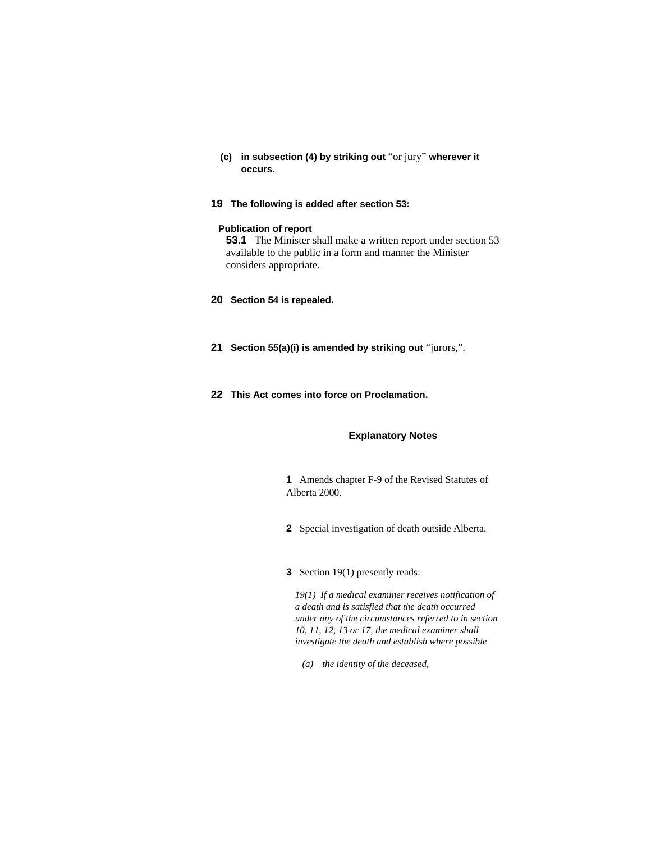- **(c) in subsection (4) by striking out** "or jury" **wherever it occurs.**
- **19 The following is added after section 53:**

## **Publication of report**

**53.1** The Minister shall make a written report under section 53 available to the public in a form and manner the Minister considers appropriate.

- **20 Section 54 is repealed.**
- **21 Section 55(a)(i) is amended by striking out** "jurors,".
- **22 This Act comes into force on Proclamation.**

# **Explanatory Notes**

**1** Amends chapter F-9 of the Revised Statutes of Alberta 2000.

- **2** Special investigation of death outside Alberta.
- **3** Section 19(1) presently reads:

*19(1) If a medical examiner receives notification of a death and is satisfied that the death occurred under any of the circumstances referred to in section 10, 11, 12, 13 or 17, the medical examiner shall investigate the death and establish where possible* 

 *(a) the identity of the deceased,*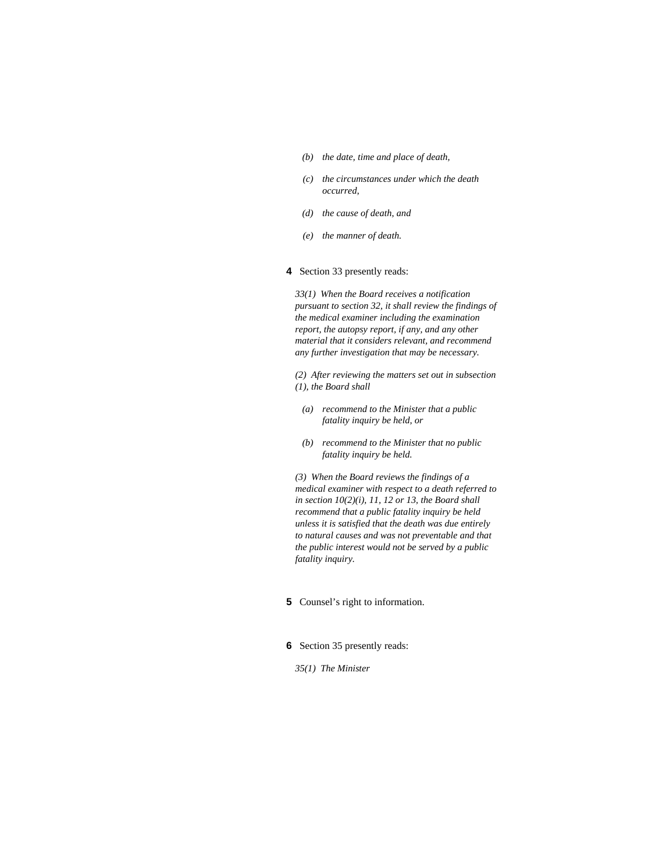- *(b) the date, time and place of death,*
- *(c) the circumstances under which the death occurred,*
- *(d) the cause of death, and*
- *(e) the manner of death.*

#### **4** Section 33 presently reads:

*33(1) When the Board receives a notification pursuant to section 32, it shall review the findings of the medical examiner including the examination report, the autopsy report, if any, and any other material that it considers relevant, and recommend any further investigation that may be necessary.* 

*(2) After reviewing the matters set out in subsection (1), the Board shall* 

- *(a) recommend to the Minister that a public fatality inquiry be held, or*
- *(b) recommend to the Minister that no public fatality inquiry be held.*

*(3) When the Board reviews the findings of a medical examiner with respect to a death referred to in section 10(2)(i), 11, 12 or 13, the Board shall recommend that a public fatality inquiry be held unless it is satisfied that the death was due entirely to natural causes and was not preventable and that the public interest would not be served by a public fatality inquiry.* 

# **5** Counsel's right to information.

#### **6** Section 35 presently reads:

#### *35(1) The Minister*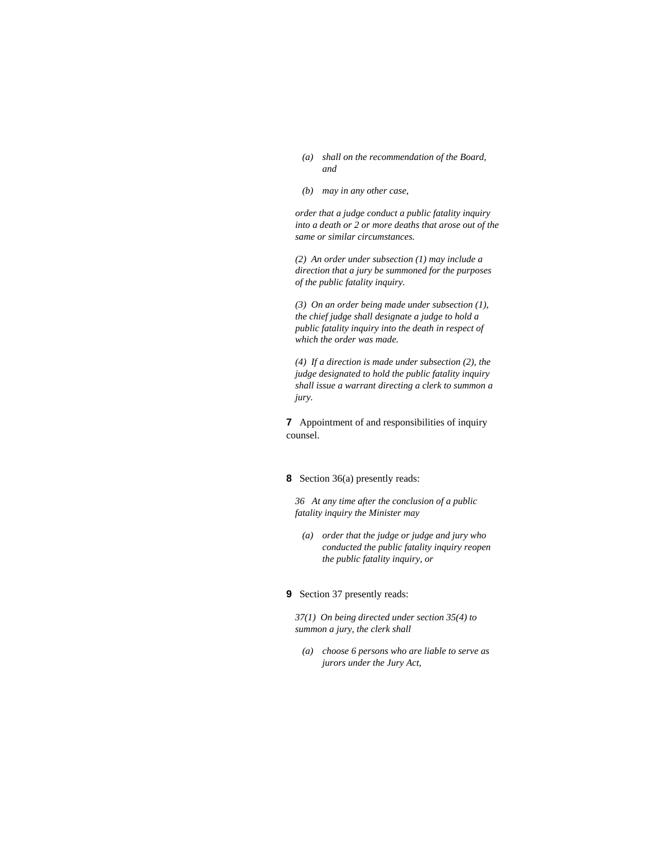- *(a) shall on the recommendation of the Board, and*
- *(b) may in any other case,*

*order that a judge conduct a public fatality inquiry into a death or 2 or more deaths that arose out of the same or similar circumstances.* 

*(2) An order under subsection (1) may include a direction that a jury be summoned for the purposes of the public fatality inquiry.* 

*(3) On an order being made under subsection (1), the chief judge shall designate a judge to hold a public fatality inquiry into the death in respect of which the order was made.* 

*(4) If a direction is made under subsection (2), the judge designated to hold the public fatality inquiry shall issue a warrant directing a clerk to summon a jury.* 

**7** Appointment of and responsibilities of inquiry counsel.

#### **8** Section 36(a) presently reads:

*36 At any time after the conclusion of a public fatality inquiry the Minister may* 

 *(a) order that the judge or judge and jury who conducted the public fatality inquiry reopen the public fatality inquiry, or* 

## **9** Section 37 presently reads:

*37(1) On being directed under section 35(4) to summon a jury, the clerk shall* 

 *(a) choose 6 persons who are liable to serve as jurors under the Jury Act,*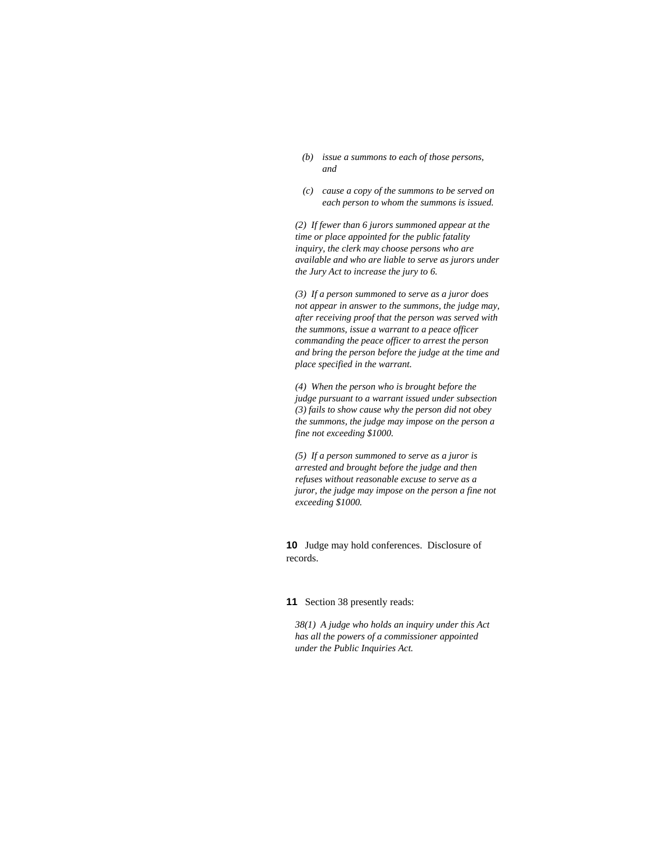- *(b) issue a summons to each of those persons, and*
- *(c) cause a copy of the summons to be served on each person to whom the summons is issued.*

*(2) If fewer than 6 jurors summoned appear at the time or place appointed for the public fatality inquiry, the clerk may choose persons who are available and who are liable to serve as jurors under the Jury Act to increase the jury to 6.* 

*(3) If a person summoned to serve as a juror does not appear in answer to the summons, the judge may, after receiving proof that the person was served with the summons, issue a warrant to a peace officer commanding the peace officer to arrest the person and bring the person before the judge at the time and place specified in the warrant.* 

*(4) When the person who is brought before the judge pursuant to a warrant issued under subsection (3) fails to show cause why the person did not obey the summons, the judge may impose on the person a fine not exceeding \$1000.* 

*(5) If a person summoned to serve as a juror is arrested and brought before the judge and then refuses without reasonable excuse to serve as a juror, the judge may impose on the person a fine not exceeding \$1000.* 

**10** Judge may hold conferences. Disclosure of records.

# **11** Section 38 presently reads:

*38(1) A judge who holds an inquiry under this Act has all the powers of a commissioner appointed under the Public Inquiries Act.*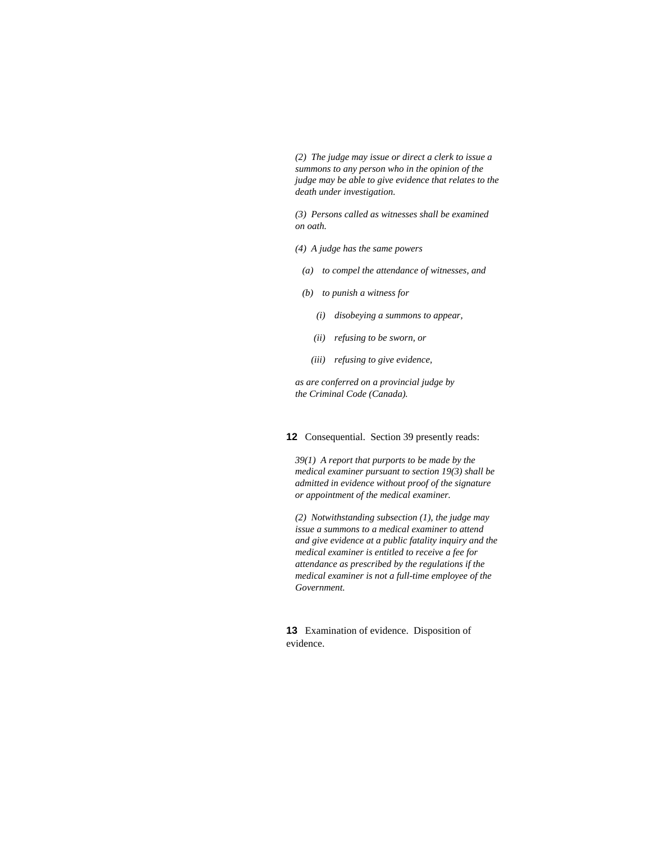*(2) The judge may issue or direct a clerk to issue a summons to any person who in the opinion of the judge may be able to give evidence that relates to the death under investigation.* 

*(3) Persons called as witnesses shall be examined on oath.* 

- *(4) A judge has the same powers* 
	- *(a) to compel the attendance of witnesses, and*
- *(b) to punish a witness for* 
	- *(i) disobeying a summons to appear,*
	- *(ii) refusing to be sworn, or*
	- *(iii) refusing to give evidence,*

*as are conferred on a provincial judge by the Criminal Code (Canada).* 

#### **12** Consequential. Section 39 presently reads:

*39(1) A report that purports to be made by the medical examiner pursuant to section 19(3) shall be admitted in evidence without proof of the signature or appointment of the medical examiner.* 

*(2) Notwithstanding subsection (1), the judge may issue a summons to a medical examiner to attend and give evidence at a public fatality inquiry and the medical examiner is entitled to receive a fee for attendance as prescribed by the regulations if the medical examiner is not a full-time employee of the Government.* 

**13** Examination of evidence. Disposition of evidence.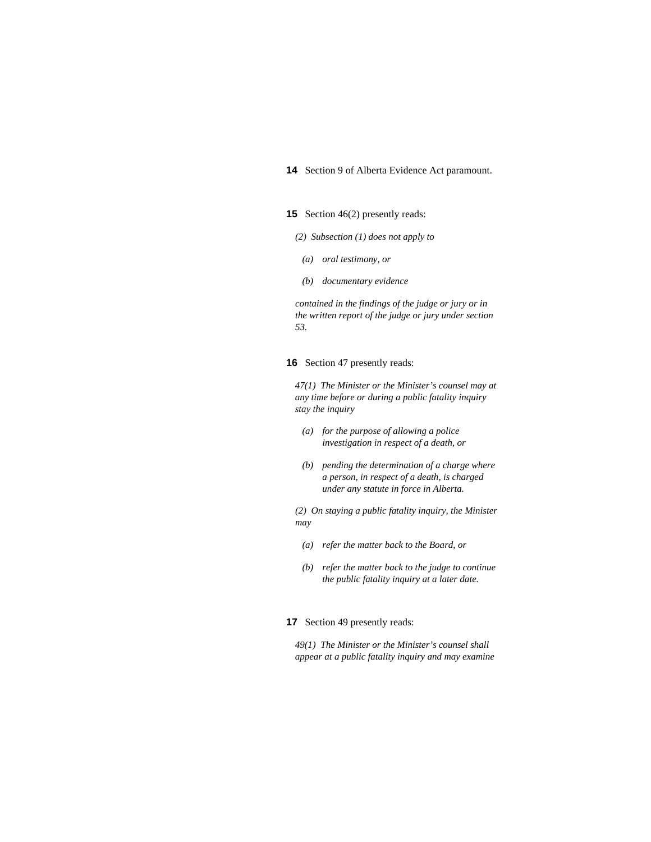# **14** Section 9 of Alberta Evidence Act paramount.

#### **15** Section 46(2) presently reads:

#### *(2) Subsection (1) does not apply to*

- *(a) oral testimony, or*
- *(b) documentary evidence*

*contained in the findings of the judge or jury or in the written report of the judge or jury under section 53.* 

# **16** Section 47 presently reads:

*47(1) The Minister or the Minister's counsel may at any time before or during a public fatality inquiry stay the inquiry* 

- *(a) for the purpose of allowing a police investigation in respect of a death, or*
- *(b) pending the determination of a charge where a person, in respect of a death, is charged under any statute in force in Alberta.*

*(2) On staying a public fatality inquiry, the Minister may* 

- *(a) refer the matter back to the Board, or*
- *(b) refer the matter back to the judge to continue the public fatality inquiry at a later date.*

## **17** Section 49 presently reads:

*49(1) The Minister or the Minister's counsel shall appear at a public fatality inquiry and may examine*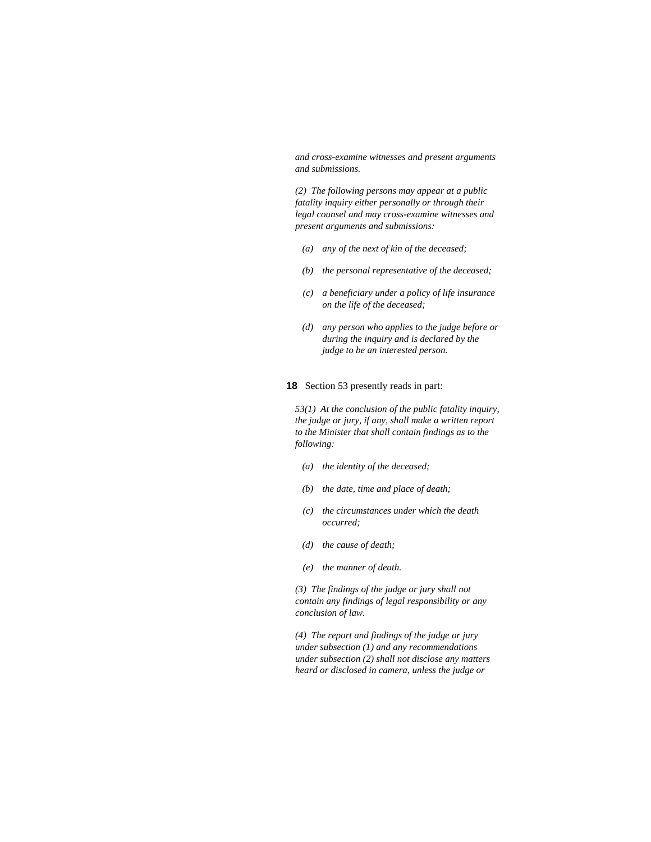*and cross-examine witnesses and present arguments and submissions.* 

*(2) The following persons may appear at a public fatality inquiry either personally or through their legal counsel and may cross-examine witnesses and present arguments and submissions:* 

- *(a) any of the next of kin of the deceased;*
- *(b) the personal representative of the deceased;*
- *(c) a beneficiary under a policy of life insurance on the life of the deceased;*
- *(d) any person who applies to the judge before or during the inquiry and is declared by the judge to be an interested person.*

## **18** Section 53 presently reads in part:

*53(1) At the conclusion of the public fatality inquiry, the judge or jury, if any, shall make a written report to the Minister that shall contain findings as to the following:* 

- *(a) the identity of the deceased;*
- *(b) the date, time and place of death;*
- *(c) the circumstances under which the death occurred;*
- *(d) the cause of death;*
- *(e) the manner of death.*

*(3) The findings of the judge or jury shall not contain any findings of legal responsibility or any conclusion of law.* 

*(4) The report and findings of the judge or jury under subsection (1) and any recommendations under subsection (2) shall not disclose any matters heard or disclosed in camera, unless the judge or*